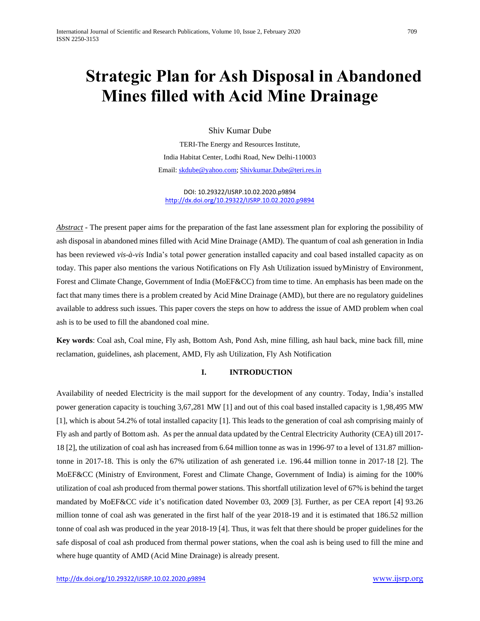# **Strategic Plan for Ash Disposal in Abandoned Mines filled with Acid Mine Drainage**

Shiv Kumar Dube

TERI-The Energy and Resources Institute, India Habitat Center, Lodhi Road, New Delhi-110003 Email[: skdube@yahoo.com;](mailto:skdube@yahoo.com) [Shivkumar.Dube@teri.res.in](mailto:Shivkumar.Dube@teri.res.in)

DOI: 10.29322/IJSRP.10.02.2020.p9894 <http://dx.doi.org/10.29322/IJSRP.10.02.2020.p9894>

*Abstract* - The present paper aims for the preparation of the fast lane assessment plan for exploring the possibility of ash disposal in abandoned mines filled with Acid Mine Drainage (AMD). The quantum of coal ash generation in India has been reviewed *vis-à-vis* India's total power generation installed capacity and coal based installed capacity as on today. This paper also mentions the various Notifications on Fly Ash Utilization issued byMinistry of Environment, Forest and Climate Change, Government of India (MoEF&CC) from time to time. An emphasis has been made on the fact that many times there is a problem created by Acid Mine Drainage (AMD), but there are no regulatory guidelines available to address such issues. This paper covers the steps on how to address the issue of AMD problem when coal ash is to be used to fill the abandoned coal mine.

**Key words**: Coal ash, Coal mine, Fly ash, Bottom Ash, Pond Ash, mine filling, ash haul back, mine back fill, mine reclamation, guidelines, ash placement, AMD, Fly ash Utilization, Fly Ash Notification

#### **I. INTRODUCTION**

Availability of needed Electricity is the mail support for the development of any country. Today, India's installed power generation capacity is touching 3,67,281 MW [1] and out of this coal based installed capacity is 1,98,495 MW [1], which is about 54.2% of total installed capacity [1]. This leads to the generation of coal ash comprising mainly of Fly ash and partly of Bottom ash. As per the annual data updated by the Central Electricity Authority (CEA) till 2017- 18 [2], the utilization of coal ash has increased from 6.64 million tonne as was in 1996-97 to a level of 131.87 milliontonne in 2017-18. This is only the 67% utilization of ash generated i.e. 196.44 million tonne in 2017-18 [2]. The MoEF&CC (Ministry of Environment, Forest and Climate Change, Government of India) is aiming for the 100% utilization of coal ash produced from thermal power stations. This shortfall utilization level of 67% is behind the target mandated by MoEF&CC *vide* it's notification dated November 03, 2009 [3]. Further, as per CEA report [4] 93.26 million tonne of coal ash was generated in the first half of the year 2018-19 and it is estimated that 186.52 million tonne of coal ash was produced in the year 2018-19 [4]. Thus, it was felt that there should be proper guidelines for the safe disposal of coal ash produced from thermal power stations, when the coal ash is being used to fill the mine and where huge quantity of AMD (Acid Mine Drainage) is already present.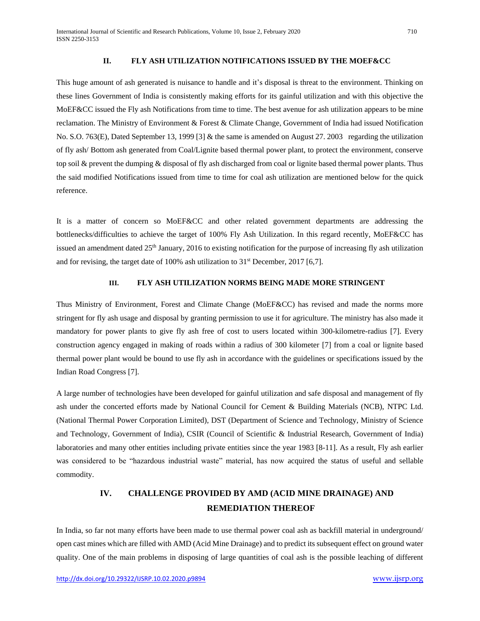# **II. FLY ASH UTILIZATION NOTIFICATIONS ISSUED BY THE MOEF&CC**

This huge amount of ash generated is nuisance to handle and it's disposal is threat to the environment. Thinking on these lines Government of India is consistently making efforts for its gainful utilization and with this objective the MoEF&CC issued the Fly ash Notifications from time to time. The best avenue for ash utilization appears to be mine reclamation. The Ministry of Environment & Forest & Climate Change, Government of India had issued Notification No. S.O. 763(E), Dated September 13, 1999 [3] & the same is amended on August 27. 2003 regarding the utilization of fly ash/ Bottom ash generated from Coal/Lignite based thermal power plant, to protect the environment, conserve top soil & prevent the dumping & disposal of fly ash discharged from coal or lignite based thermal power plants. Thus the said modified Notifications issued from time to time for coal ash utilization are mentioned below for the quick reference.

It is a matter of concern so MoEF&CC and other related government departments are addressing the bottlenecks/difficulties to achieve the target of 100% Fly Ash Utilization. In this regard recently, MoEF&CC has issued an amendment dated 25<sup>th</sup> January, 2016 to existing notification for the purpose of increasing fly ash utilization and for revising, the target date of 100% ash utilization to  $31<sup>st</sup>$  December, 2017 [6,7].

#### **III. FLY ASH UTILIZATION NORMS BEING MADE MORE STRINGENT**

Thus Ministry of Environment, Forest and Climate Change (MoEF&CC) has revised and made the norms more stringent for fly ash usage and disposal by granting permission to use it for agriculture. The ministry has also made it mandatory for power plants to give fly ash free of cost to users located within 300-kilometre-radius [7]. Every construction agency engaged in making of roads within a radius of 300 kilometer [7] from a coal or lignite based thermal power plant would be bound to use fly ash in accordance with the guidelines or specifications issued by the Indian Road Congress [7].

A large number of technologies have been developed for gainful utilization and safe disposal and management of fly ash under the concerted efforts made by National Council for Cement & Building Materials (NCB), NTPC Ltd. (National Thermal Power Corporation Limited), DST (Department of Science and Technology, Ministry of Science and Technology, Government of India), CSIR (Council of Scientific & Industrial Research, Government of India) laboratories and many other entities including private entities since the year 1983 [8-11]. As a result, Fly ash earlier was considered to be "hazardous industrial waste" material, has now acquired the status of useful and sellable commodity.

# **IV. CHALLENGE PROVIDED BY AMD (ACID MINE DRAINAGE) AND REMEDIATION THEREOF**

In India, so far not many efforts have been made to use thermal power coal ash as backfill material in underground/ open cast mines which are filled with AMD (Acid Mine Drainage) and to predict its subsequent effect on ground water quality. One of the main problems in disposing of large quantities of coal ash is the possible leaching of different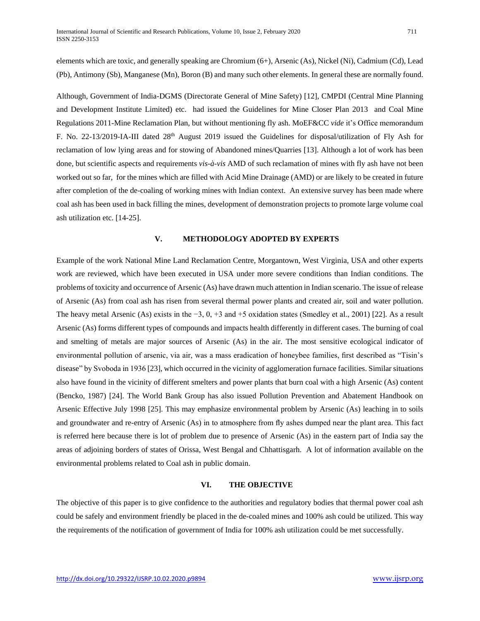elements which are toxic, and generally speaking are Chromium (6+), Arsenic (As), Nickel (Ni), Cadmium (Cd), Lead (Pb), Antimony (Sb), Manganese (Mn), Boron (B) and many such other elements. In general these are normally found.

Although, Government of India-DGMS (Directorate General of Mine Safety) [12], CMPDI (Central Mine Planning and Development Institute Limited) etc. had issued the Guidelines for Mine Closer Plan 2013 and Coal Mine Regulations 2011-Mine Reclamation Plan, but without mentioning fly ash. MoEF&CC *vide* it's Office memorandum F. No. 22-13/2019-IA-III dated 28th August 2019 issued the Guidelines for disposal/utilization of Fly Ash for reclamation of low lying areas and for stowing of Abandoned mines/Quarries [13]. Although a lot of work has been done, but scientific aspects and requirements *vis-à-vis* AMD of such reclamation of mines with fly ash have not been worked out so far, for the mines which are filled with Acid Mine Drainage (AMD) or are likely to be created in future after completion of the de-coaling of working mines with Indian context. An extensive survey has been made where coal ash has been used in back filling the mines, development of demonstration projects to promote large volume coal ash utilization etc. [14-25].

## **V. METHODOLOGY ADOPTED BY EXPERTS**

Example of the work National Mine Land Reclamation Centre, Morgantown, West Virginia, USA and other experts work are reviewed, which have been executed in USA under more severe conditions than Indian conditions. The problems of toxicity and occurrence of Arsenic (As) have drawn much attention in Indian scenario. The issue of release of Arsenic (As) from coal ash has risen from several thermal power plants and created air, soil and water pollution. The heavy metal Arsenic (As) exists in the −3, 0, +3 and +5 oxidation states (Smedley et al., 2001) [22]. As a result Arsenic (As) forms different types of compounds and impacts health differently in different cases. The burning of coal and smelting of metals are major sources of Arsenic (As) in the air. The most sensitive ecological indicator of environmental pollution of arsenic, via air, was a mass eradication of honeybee families, first described as "Tisin's disease" by Svoboda in 1936 [23], which occurred in the vicinity of agglomeration furnace facilities. Similar situations also have found in the vicinity of different smelters and power plants that burn coal with a high Arsenic (As) content (Bencko, 1987) [24]. The World Bank Group has also issued Pollution Prevention and Abatement Handbook on Arsenic Effective July 1998 [25]. This may emphasize environmental problem by Arsenic (As) leaching in to soils and groundwater and re-entry of Arsenic (As) in to atmosphere from fly ashes dumped near the plant area. This fact is referred here because there is lot of problem due to presence of Arsenic (As) in the eastern part of India say the areas of adjoining borders of states of Orissa, West Bengal and Chhattisgarh. A lot of information available on the environmental problems related to Coal ash in public domain.

#### **VI. THE OBJECTIVE**

The objective of this paper is to give confidence to the authorities and regulatory bodies that thermal power coal ash could be safely and environment friendly be placed in the de-coaled mines and 100% ash could be utilized. This way the requirements of the notification of government of India for 100% ash utilization could be met successfully.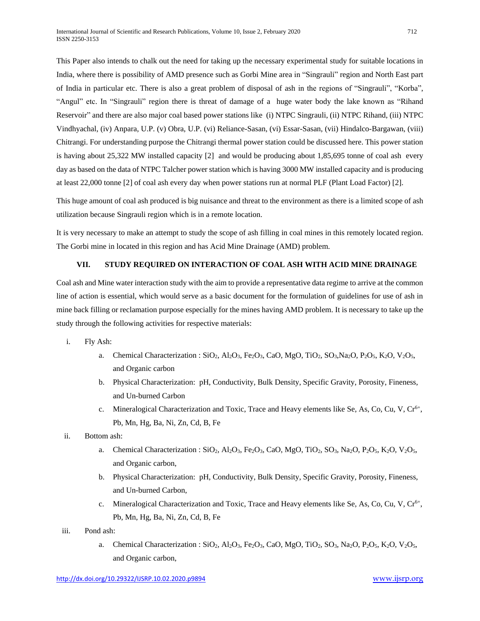This Paper also intends to chalk out the need for taking up the necessary experimental study for suitable locations in India, where there is possibility of AMD presence such as Gorbi Mine area in "Singrauli" region and North East part of India in particular etc. There is also a great problem of disposal of ash in the regions of "Singrauli", "Korba", "Angul" etc. In "Singrauli" region there is threat of damage of a huge water body the lake known as "Rihand Reservoir" and there are also major coal based power stations like (i) NTPC Singrauli, (ii) NTPC Rihand, (iii) NTPC Vindhyachal, (iv) Anpara, U.P. (v) Obra, U.P. (vi) Reliance-Sasan, (vi) Essar-Sasan, (vii) Hindalco-Bargawan, (viii) Chitrangi. For understanding purpose the Chitrangi thermal power station could be discussed here. This power station is having about 25,322 MW installed capacity [2] and would be producing about 1,85,695 tonne of coal ash every day as based on the data of NTPC Talcher power station which is having 3000 MW installed capacity and is producing at least 22,000 tonne [2] of coal ash every day when power stations run at normal PLF (Plant Load Factor) [2].

This huge amount of coal ash produced is big nuisance and threat to the environment as there is a limited scope of ash utilization because Singrauli region which is in a remote location.

It is very necessary to make an attempt to study the scope of ash filling in coal mines in this remotely located region. The Gorbi mine in located in this region and has Acid Mine Drainage (AMD) problem.

# **VII. STUDY REQUIRED ON INTERACTION OF COAL ASH WITH ACID MINE DRAINAGE**

Coal ash and Mine water interaction study with the aim to provide a representative data regime to arrive at the common line of action is essential, which would serve as a basic document for the formulation of guidelines for use of ash in mine back filling or reclamation purpose especially for the mines having AMD problem. It is necessary to take up the study through the following activities for respective materials:

- i. Fly Ash:
	- a. Chemical Characterization :  $SiO_2$ ,  $Al_2O_3$ ,  $Fe_2O_3$ , CaO, MgO, TiO<sub>2</sub>, SO<sub>3</sub>, Na<sub>2</sub>O, P<sub>2</sub>O<sub>5</sub>, K<sub>2</sub>O, V<sub>2</sub>O<sub>5</sub>, and Organic carbon
	- b. Physical Characterization: pH, Conductivity, Bulk Density, Specific Gravity, Porosity, Fineness, and Un-burned Carbon
	- c. Mineralogical Characterization and Toxic, Trace and Heavy elements like Se, As, Co, Cu, V, Cr<sup>6+</sup>, Pb, Mn, Hg, Ba, Ni, Zn, Cd, B, Fe
- ii. Bottom ash:
	- a. Chemical Characterization :  $SiO_2$ ,  $Al_2O_3$ ,  $Fe_2O_3$ ,  $CaO$ ,  $MgO$ ,  $TiO_2$ ,  $SO_3$ ,  $Na_2O$ ,  $P_2O_5$ ,  $K_2O$ ,  $V_2O_5$ , and Organic carbon,
	- b. Physical Characterization: pH, Conductivity, Bulk Density, Specific Gravity, Porosity, Fineness, and Un-burned Carbon,
	- c. Mineralogical Characterization and Toxic, Trace and Heavy elements like Se, As, Co, Cu, V,  $Cr^{6+}$ , Pb, Mn, Hg, Ba, Ni, Zn, Cd, B, Fe
- iii. Pond ash:
	- a. Chemical Characterization :  $SiO<sub>2</sub>$ ,  $Al<sub>2</sub>O<sub>3</sub>$ ,  $Fe<sub>2</sub>O<sub>3</sub>$ ,  $CaO$ ,  $MgO$ ,  $TiO<sub>2</sub>$ ,  $So<sub>3</sub>$ ,  $Na<sub>2</sub>O$ ,  $P<sub>2</sub>O<sub>5</sub>$ ,  $K<sub>2</sub>O$ ,  $V<sub>2</sub>O<sub>5</sub>$ , and Organic carbon,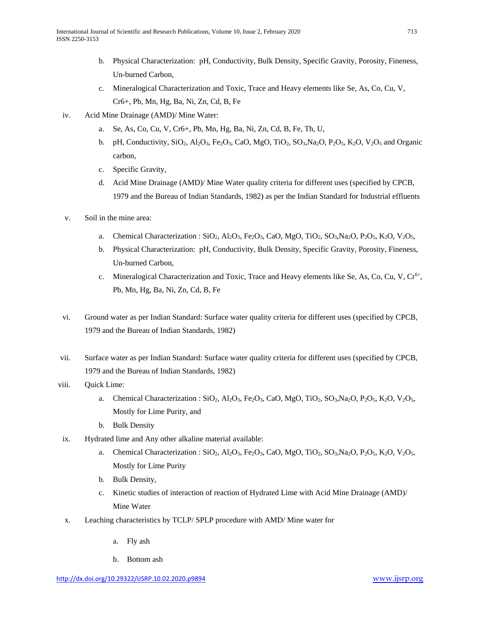- b. Physical Characterization: pH, Conductivity, Bulk Density, Specific Gravity, Porosity, Fineness, Un-burned Carbon,
- c. Mineralogical Characterization and Toxic, Trace and Heavy elements like Se, As, Co, Cu, V, Cr6+, Pb, Mn, Hg, Ba, Ni, Zn, Cd, B, Fe
- iv. Acid Mine Drainage (AMD)/ Mine Water:
	- a. Se, As, Co, Cu, V, Cr6+, Pb, Mn, Hg, Ba, Ni, Zn, Cd, B, Fe, Th, U,
	- b. pH, Conductivity,  $SiO_2$ ,  $Al_2O_3$ , Fe<sub>2</sub>O<sub>3</sub>, CaO, MgO, TiO<sub>2</sub>, SO<sub>3</sub>, Na<sub>2</sub>O, P<sub>2</sub>O<sub>5</sub>, K<sub>2</sub>O, V<sub>2</sub>O<sub>5</sub> and Organic carbon,
	- c. Specific Gravity,
	- d. Acid Mine Drainage (AMD)/ Mine Water quality criteria for different uses (specified by CPCB, 1979 and the Bureau of Indian Standards, 1982) as per the Indian Standard for Industrial effluents
- v. Soil in the mine area:
	- a. Chemical Characterization :  $SiO_2$ ,  $Al_2O_3$ ,  $Fe_2O_3$ , CaO, MgO, TiO<sub>2</sub>, SO<sub>3</sub>, Na<sub>2</sub>O, P<sub>2</sub>O<sub>5</sub>, K<sub>2</sub>O, V<sub>2</sub>O<sub>5</sub>,
	- b. Physical Characterization: pH, Conductivity, Bulk Density, Specific Gravity, Porosity, Fineness, Un-burned Carbon,
	- c. Mineralogical Characterization and Toxic, Trace and Heavy elements like Se, As, Co, Cu, V, Cr<sup>6+</sup>, Pb, Mn, Hg, Ba, Ni, Zn, Cd, B, Fe
- vi. Ground water as per Indian Standard: Surface water quality criteria for different uses (specified by CPCB, 1979 and the Bureau of Indian Standards, 1982)
- vii. Surface water as per Indian Standard: Surface water quality criteria for different uses (specified by CPCB, 1979 and the Bureau of Indian Standards, 1982)
- viii. Quick Lime:
	- a. Chemical Characterization :  $SiO_2$ ,  $Al_2O_3$ ,  $Fe_2O_3$ , CaO, MgO, TiO<sub>2</sub>, SO<sub>3</sub>, Na<sub>2</sub>O, P<sub>2</sub>O<sub>5</sub>, K<sub>2</sub>O, V<sub>2</sub>O<sub>5</sub>, Mostly for Lime Purity, and
	- b. Bulk Density
- ix. Hydrated lime and Any other alkaline material available:
	- a. Chemical Characterization :  $SiO_2$ ,  $Al_2O_3$ ,  $Fe_2O_3$ , CaO, MgO, TiO<sub>2</sub>, SO<sub>3</sub>, Na<sub>2</sub>O, P<sub>2</sub>O<sub>5</sub>, K<sub>2</sub>O, V<sub>2</sub>O<sub>5</sub>, Mostly for Lime Purity
	- b. Bulk Density,
	- c. Kinetic studies of interaction of reaction of Hydrated Lime with Acid Mine Drainage (AMD)/ Mine Water
- x. Leaching characteristics by TCLP/ SPLP procedure with AMD/ Mine water for
	- a. Fly ash
	- b. Bottom ash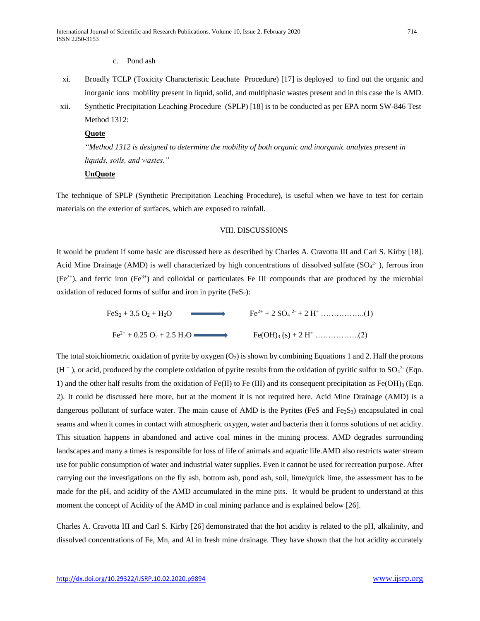#### c. Pond ash

- xi. Broadly TCLP (Toxicity Characteristic Leachate Procedure) [17] is deployed to find out the organic and inorganic ions mobility present in liquid, solid, and multiphasic wastes present and in this case the is AMD.
- xii. Synthetic Precipitation Leaching Procedure (SPLP) [18] is to be conducted as per EPA norm SW-846 Test Method 1312:

#### **Quote**

*"Method 1312 is designed to determine the mobility of both organic and inorganic analytes present in liquids, soils, and wastes."*

# **UnQuote**

The technique of SPLP (Synthetic Precipitation Leaching Procedure), is useful when we have to test for certain materials on the exterior of surfaces, which are exposed to rainfall.

#### VIII. DISCUSSIONS

It would be prudent if some basic are discussed here as described by Charles A. Cravotta III and Carl S. Kirby [18]. Acid Mine Drainage (AMD) is well characterized by high concentrations of dissolved sulfate  $(SO<sub>4</sub><sup>2</sup>$ , ferrous iron  $(Fe<sup>2+</sup>)$ , and ferric iron  $(Fe<sup>3+</sup>)$  and colloidal or particulates Fe III compounds that are produced by the microbial oxidation of reduced forms of sulfur and iron in pyrite  $(F \in S_2)$ :

FeS<sup>2</sup> + 3.5 O<sup>2</sup> + H2O Fe2+ + 2 SO<sup>4</sup> 2- + 2 H<sup>+</sup> ……………..(1) Fe2+ + 0.25 O<sup>2</sup> + 2.5 H2O Fe(OH)<sup>3</sup> (s) + 2 H<sup>+</sup> ……………..(2)

The total stoichiometric oxidation of pyrite by oxygen  $(O_2)$  is shown by combining Equations 1 and 2. Half the protons  $(H<sup>+</sup>)$ , or acid, produced by the complete oxidation of pyrite results from the oxidation of pyritic sulfur to SO<sub>4</sub><sup>2</sup> (Eqn. 1) and the other half results from the oxidation of Fe(II) to Fe (III) and its consequent precipitation as Fe(OH)<sub>3</sub> (Eqn. 2). It could be discussed here more, but at the moment it is not required here. Acid Mine Drainage (AMD) is a dangerous pollutant of surface water. The main cause of AMD is the Pyrites (FeS and Fe<sub>2</sub>S<sub>3</sub>) encapsulated in coal seams and when it comes in contact with atmospheric oxygen, water and bacteria then it forms solutions of net acidity. This situation happens in abandoned and active coal mines in the mining process. AMD degrades surrounding landscapes and many a times is responsible for loss of life of animals and aquatic life.AMD also restricts water stream use for public consumption of water and industrial water supplies. Even it cannot be used for recreation purpose. After carrying out the investigations on the fly ash, bottom ash, pond ash, soil, lime/quick lime, the assessment has to be made for the pH, and acidity of the AMD accumulated in the mine pits. It would be prudent to understand at this moment the concept of Acidity of the AMD in coal mining parlance and is explained below [26].

Charles A. Cravotta III and Carl S. Kirby [26] demonstrated that the hot acidity is related to the pH, alkalinity, and dissolved concentrations of Fe, Mn, and Al in fresh mine drainage. They have shown that the hot acidity accurately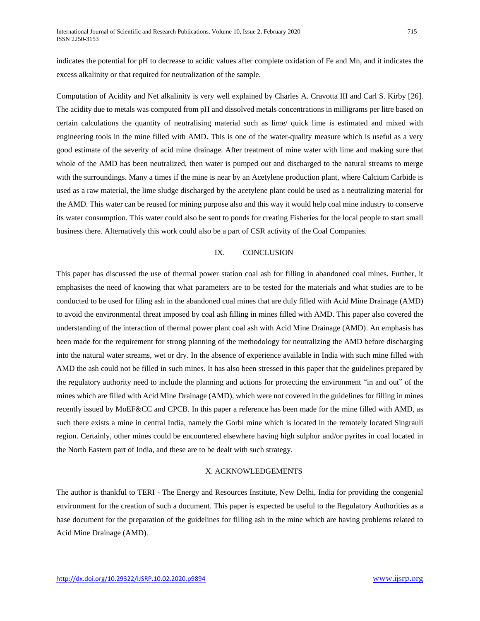indicates the potential for pH to decrease to acidic values after complete oxidation of Fe and Mn, and it indicates the excess alkalinity or that required for neutralization of the sample.

Computation of Acidity and Net alkalinity is very well explained by Charles A. Cravotta III and Carl S. Kirby [26]. The acidity due to metals was computed from pH and dissolved metals concentrations in milligrams per litre based on certain calculations the quantity of neutralising material such as lime/ quick lime is estimated and mixed with engineering tools in the mine filled with AMD. This is one of the water-quality measure which is useful as a very good estimate of the severity of acid mine drainage. After treatment of mine water with lime and making sure that whole of the AMD has been neutralized, then water is pumped out and discharged to the natural streams to merge with the surroundings. Many a times if the mine is near by an Acetylene production plant, where Calcium Carbide is used as a raw material, the lime sludge discharged by the acetylene plant could be used as a neutralizing material for the AMD. This water can be reused for mining purpose also and this way it would help coal mine industry to conserve its water consumption. This water could also be sent to ponds for creating Fisheries for the local people to start small business there. Alternatively this work could also be a part of CSR activity of the Coal Companies.

## IX. CONCLUSION

This paper has discussed the use of thermal power station coal ash for filling in abandoned coal mines. Further, it emphasises the need of knowing that what parameters are to be tested for the materials and what studies are to be conducted to be used for filing ash in the abandoned coal mines that are duly filled with Acid Mine Drainage (AMD) to avoid the environmental threat imposed by coal ash filling in mines filled with AMD. This paper also covered the understanding of the interaction of thermal power plant coal ash with Acid Mine Drainage (AMD). An emphasis has been made for the requirement for strong planning of the methodology for neutralizing the AMD before discharging into the natural water streams, wet or dry. In the absence of experience available in India with such mine filled with AMD the ash could not be filled in such mines. It has also been stressed in this paper that the guidelines prepared by the regulatory authority need to include the planning and actions for protecting the environment "in and out" of the mines which are filled with Acid Mine Drainage (AMD), which were not covered in the guidelines for filling in mines recently issued by MoEF&CC and CPCB. In this paper a reference has been made for the mine filled with AMD, as such there exists a mine in central India, namely the Gorbi mine which is located in the remotely located Singrauli region. Certainly, other mines could be encountered elsewhere having high sulphur and/or pyrites in coal located in the North Eastern part of India, and these are to be dealt with such strategy.

#### X. ACKNOWLEDGEMENTS

The author is thankful to TERI - The Energy and Resources Institute, New Delhi, India for providing the congenial environment for the creation of such a document. This paper is expected be useful to the Regulatory Authorities as a base document for the preparation of the guidelines for filling ash in the mine which are having problems related to Acid Mine Drainage (AMD).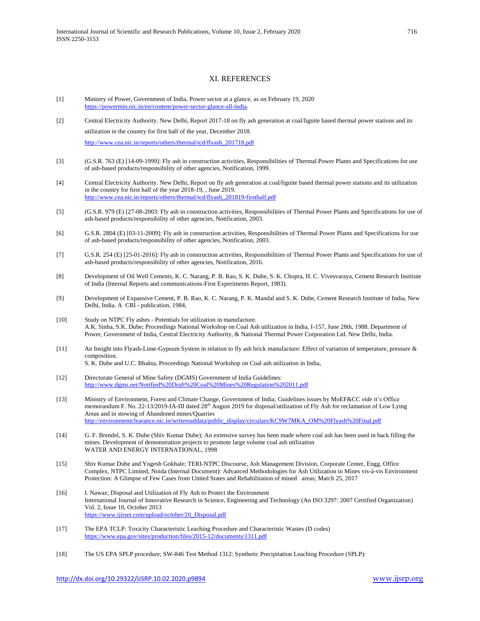#### XI. REFERENCES

- [1] Ministry of Power, Government of India, Power sector at a glance, as on February 19, 2020 [https://powermin.nic.in/en/content/power-sector-glance-all-india.](https://powermin.nic.in/en/content/power-sector-glance-all-india)
- [2] Central Electricity Authority. New Delhi, Report 2017-18 on fly ash generation at coal/lignite based thermal power stations and its utilization in the country for first half of the year, December 2018. [http://www.cea.nic.in/reports/others/thermal/tcd/flyash\\_201718.pdf](http://www.cea.nic.in/reports/others/thermal/tcd/flyash_201718.pdf)
- [3] (G.S.R. 763 (E) [14-09-1999]: Fly ash in construction activities, Responsibilities of Thermal Power Plants and Specifications for use of ash-based products/responsibility of other agencies, Notification, 1999.
- [4] Central Electricity Authority. New Delhi, Report on fly ash generation at coal/lignite based thermal power stations and its utilization in the country for first half of the year 2018-19, , June 2019. [http://www.cea.nic.in/reports/others/thermal/tcd/flyash\\_201819-firsthalf.pdf](http://www.cea.nic.in/reports/others/thermal/tcd/flyash_201819-firsthalf.pdf)
- [5] (G.S.R. 979 (E) [27-08-2003: Fly ash in construction activities, Responsibilities of Thermal Power Plants and Specifications for use of ash-based products/responsibility of other agencies, Notification, 2003.
- [6] G.S.R. 2804 (E) [03-11-2009]: Fly ash in construction activities, Responsibilities of Thermal Power Plants and Specifications for use of ash-based products/responsibility of other agencies, Notification, 2003.
- [7] G.S.R. 254 (E) [25-01-2016]: Fly ash in construction activities, Responsibilities of Thermal Power Plants and Specifications for use of ash-based products/responsibility of other agencies, Notification, 2016.
- [8] Development of Oil Well Cements, K. C. Narang, P. B. Rao, S. K. Dube, S. K. Chopra, H. C. Vivesvaraya, Cement Research Institute of India (Internal Reports and communications-First Experiments Report, 1983).
- [9} Development of Expansive Cement, P. B. Rao, K. C. Narang, P. K. Mandal and S. K. Dube, Cement Research Institute of India, New Delhi, India. A CRI - publication, 1984,
- [10] Study on NTPC Fly ashes Potentials for utilization in manufacture. A.K. Sinha, S.K. Dube; Proceedings National Workshop on Coal Ash utilization in India, I-157, June 28th, 1988. Department of Power, Government of India, Central Electricity Authority, & National Thermal Power Corporation Ltd. New Delhi, India.
- [11] An Insight into Flyash-Lime-Gypsum System in relation to fly ash brick manufacture: Effect of variation of temperature, pressure & composition.
	- S. K. Dube and U.C. Bhakta, Proceedings National Workshop on Coal ash utilization in India,
- [12] Directorate General of Mine Safety (DGMS) Government of India Guidelines: <http://www.dgms.net/Notified%20Draft%20Coal%20Mines%20Regulation%202011.pdf>
- [13] Ministry of Environment, Forest and Climate Change, Government of India; Guidelines issues by MoEF&CC *vide* it's Office memorandum F. No. 22-13/2019-IA-III dated 28<sup>th</sup> August 2019 for disposal/utilization of Fly Ash for reclamation of Low Lying Areas and in stowing of Abandoned mines/Quarries [http://environmentclearance.nic.in/writereaddata/public\\_display/circulars/KC9W7MKA\\_OM%20Flyash%20Final.pdf](http://environmentclearance.nic.in/writereaddata/public_display/circulars/KC9W7MKA_OM%20Flyash%20Final.pdf)
- [14] G. F. Brendel, [S. K. Dube](https://scholar.google.com/citations?user=fY1oTVcAAAAJ&hl=en&oi=sra) (Shiv Kumar Dube); An extensive survey has been made where coal ash has been used in back filling the mines. Development of demonstration projects to promote large volume coal ash utilization WATER AND ENERGY INTERNATIONAL, 1998
- [15] Shiv Kumar Dube and Yogesh Gokhale; TERI-NTPC Discourse, Ash Management Division, Corporate Center, Engg. Office Complex, NTPC Limited, Noida (Internal Document): Advanced Methodologies for Ash Utilization in Mines vis-à-vis Environment Protection: A Glimpse of Few Cases from United States and Rehabilitation of mined areas; March 25, 2017
- [16] I. Nawaz; Disposal and Utilization of Fly Ash to Protect the Environment International Journal of Innovative Research in Science, Engineering and Technology (An ISO 3297: 2007 Certified Organization) Vol. 2, Issue 10, October 2013 [https://www.ijirset.com/upload/october/20\\_Disposal.pdf](https://www.ijirset.com/upload/october/20_Disposal.pdf)
- [17] The EPA TCLP: Toxicity Characteristic Leaching Procedure and Characteristic Wastes (D codes) <https://www.epa.gov/sites/production/files/2015-12/documents/1311.pdf>
- [18] The US EPA SPLP procedure; SW-846 Test Method 1312: Synthetic Precipitation Leaching Procedure (SPLP):